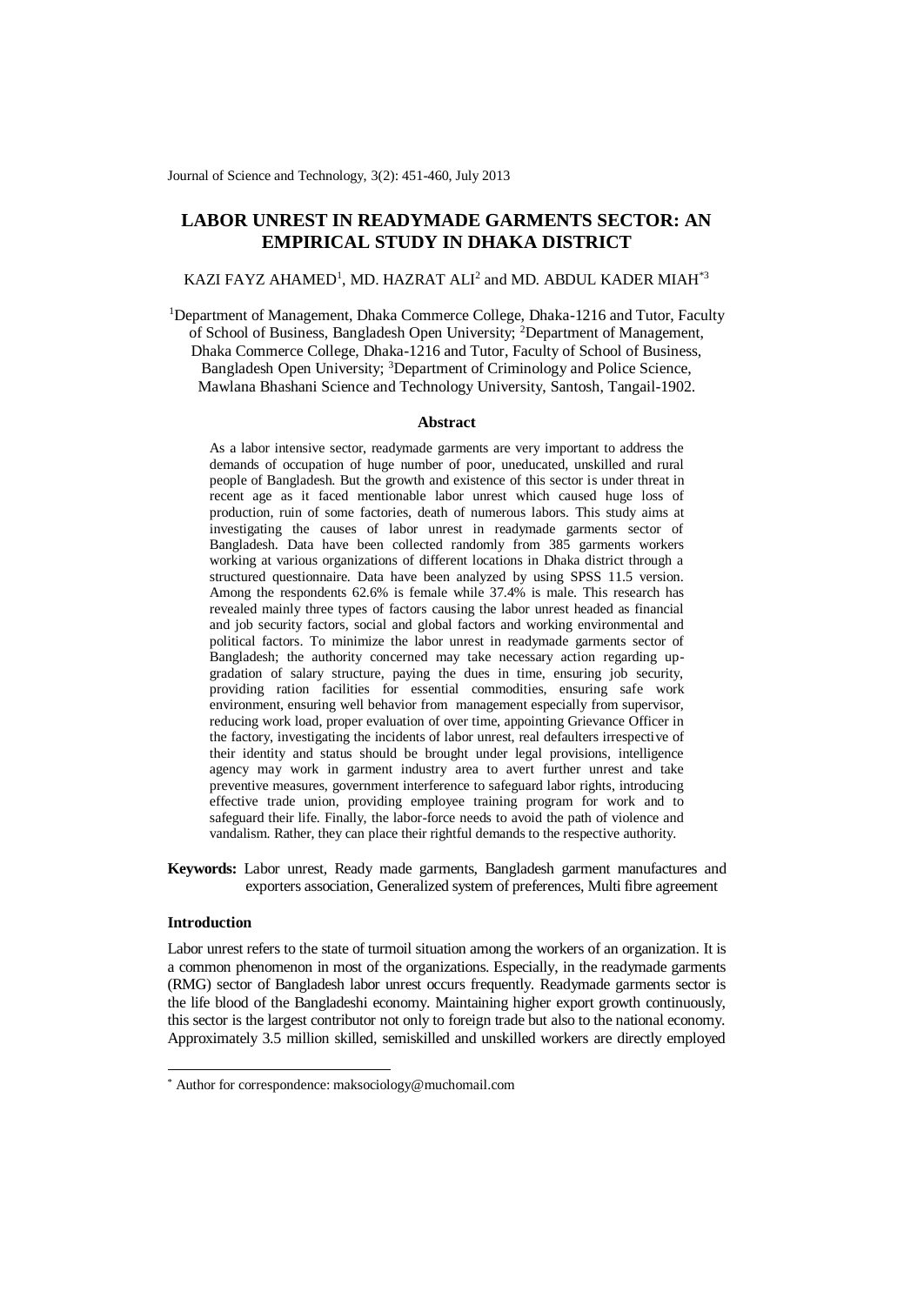# **LABOR UNREST IN READYMADE GARMENTS SECTOR: AN EMPIRICAL STUDY IN DHAKA DISTRICT**

# KAZI FAYZ AHAMED $^{\rm l}$ , MD. HAZRAT ALI $^{\rm 2}$  and MD. ABDUL KADER MIAH $^{\rm *3}$

<sup>1</sup>Department of Management, Dhaka Commerce College, Dhaka-1216 and Tutor, Faculty of School of Business, Bangladesh Open University; <sup>2</sup>Department of Management, Dhaka Commerce College, Dhaka-1216 and Tutor, Faculty of School of Business, Bangladesh Open University; <sup>3</sup>Department of Criminology and Police Science,

Mawlana Bhashani Science and Technology University, Santosh, Tangail-1902.

# **Abstract**

As a labor intensive sector, readymade garments are very important to address the demands of occupation of huge number of poor, uneducated, unskilled and rural people of Bangladesh. But the growth and existence of this sector is under threat in recent age as it faced mentionable labor unrest which caused huge loss of production, ruin of some factories, death of numerous labors. This study aims at investigating the causes of labor unrest in readymade garments sector of Bangladesh. Data have been collected randomly from 385 garments workers working at various organizations of different locations in Dhaka district through a structured questionnaire. Data have been analyzed by using SPSS 11.5 version. Among the respondents 62.6% is female while 37.4% is male. This research has revealed mainly three types of factors causing the labor unrest headed as financial and job security factors, social and global factors and working environmental and political factors. To minimize the labor unrest in readymade garments sector of Bangladesh; the authority concerned may take necessary action regarding upgradation of salary structure, paying the dues in time, ensuring job security, providing ration facilities for essential commodities, ensuring safe work environment, ensuring well behavior from management especially from supervisor, reducing work load, proper evaluation of over time, appointing Grievance Officer in the factory, investigating the incidents of labor unrest, real defaulters irrespective of their identity and status should be brought under legal provisions, intelligence agency may work in garment industry area to avert further unrest and take preventive measures, government interference to safeguard labor rights, introducing effective trade union, providing employee training program for work and to safeguard their life. Finally, the labor-force needs to avoid the path of violence and vandalism. Rather, they can place their rightful demands to the respective authority.

**Keywords:** Labor unrest, Ready made garments, Bangladesh garment manufactures and exporters association, Generalized system of preferences, Multi fibre agreement

# **Introduction**

-

Labor unrest refers to the state of turmoil situation among the workers of an organization. It is a common phenomenon in most of the organizations. Especially, in the readymade garments (RMG) sector of Bangladesh labor unrest occurs frequently. Readymade garments sector is the life blood of the Bangladeshi economy. Maintaining higher export growth continuously, this sector is the largest contributor not only to foreign trade but also to the national economy. Approximately 3.5 million skilled, semiskilled and unskilled workers are directly employed

<sup>\*</sup> Author for correspondence: maksociology@muchomail.com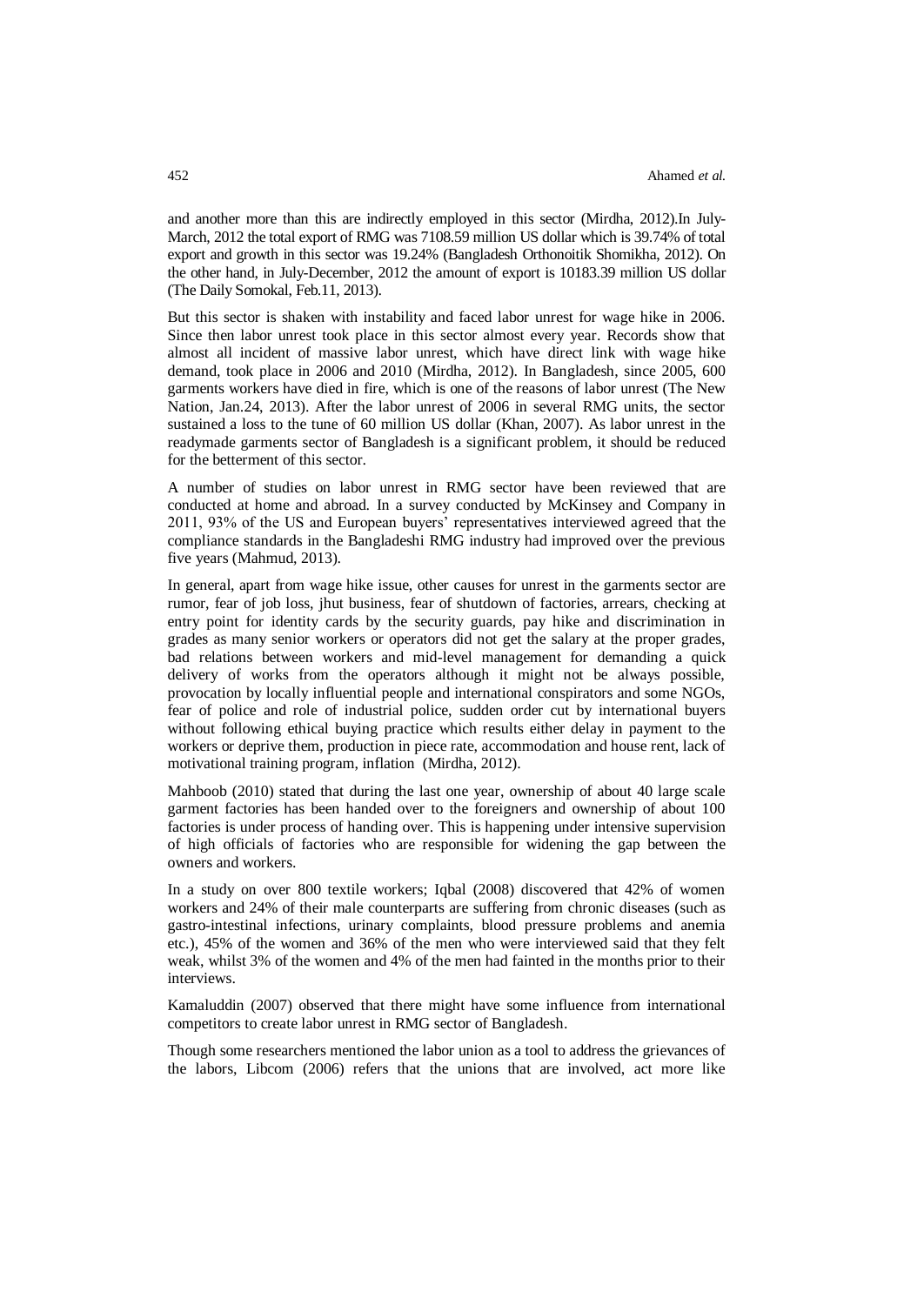and another more than this are indirectly employed in this sector (Mirdha, 2012).In July-March, 2012 the total export of RMG was 7108.59 million US dollar which is 39.74% of total export and growth in this sector was 19.24% (Bangladesh Orthonoitik Shomikha, 2012). On the other hand, in July-December, 2012 the amount of export is 10183.39 million US dollar (The Daily Somokal, Feb.11, 2013).

But this sector is shaken with instability and faced labor unrest for wage hike in 2006. Since then labor unrest took place in this sector almost every year. Records show that almost all incident of massive labor unrest, which have direct link with wage hike demand, took place in 2006 and 2010 (Mirdha, 2012). In Bangladesh, since 2005, 600 garments workers have died in fire, which is one of the reasons of labor unrest (The New Nation, Jan.24, 2013). After the labor unrest of 2006 in several RMG units, the sector sustained a loss to the tune of 60 million US dollar (Khan, 2007). As labor unrest in the readymade garments sector of Bangladesh is a significant problem, it should be reduced for the betterment of this sector.

A number of studies on labor unrest in RMG sector have been reviewed that are conducted at home and abroad. In a survey conducted by McKinsey and Company in 2011, 93% of the US and European buyers' representatives interviewed agreed that the compliance standards in the Bangladeshi RMG industry had improved over the previous five years (Mahmud, 2013).

In general, apart from wage hike issue, other causes for unrest in the garments sector are rumor, fear of job loss, jhut business, fear of shutdown of factories, arrears, checking at entry point for identity cards by the security guards, pay hike and discrimination in grades as many senior workers or operators did not get the salary at the proper grades, bad relations between workers and mid-level management for demanding a quick delivery of works from the operators although it might not be always possible, provocation by locally influential people and international conspirators and some NGOs, fear of police and role of industrial police, sudden order cut by international buyers without following ethical buying practice which results either delay in payment to the workers or deprive them, production in piece rate, accommodation and house rent, lack of motivational training program, inflation (Mirdha, 2012).

Mahboob (2010) stated that during the last one year, ownership of about 40 large scale garment factories has been handed over to the foreigners and ownership of about 100 factories is under process of handing over. This is happening under intensive supervision of high officials of factories who are responsible for widening the gap between the owners and workers.

In a study on over 800 textile workers; Iqbal (2008) discovered that 42% of women workers and 24% of their male counterparts are suffering from chronic diseases (such as gastro-intestinal infections, urinary complaints, blood pressure problems and anemia etc.), 45% of the women and 36% of the men who were interviewed said that they felt weak, whilst 3% of the women and 4% of the men had fainted in the months prior to their interviews.

Kamaluddin (2007) observed that there might have some influence from international competitors to create labor unrest in RMG sector of Bangladesh.

Though some researchers mentioned the labor union as a tool to address the grievances of the labors, Libcom (2006) refers that the unions that are involved, act more like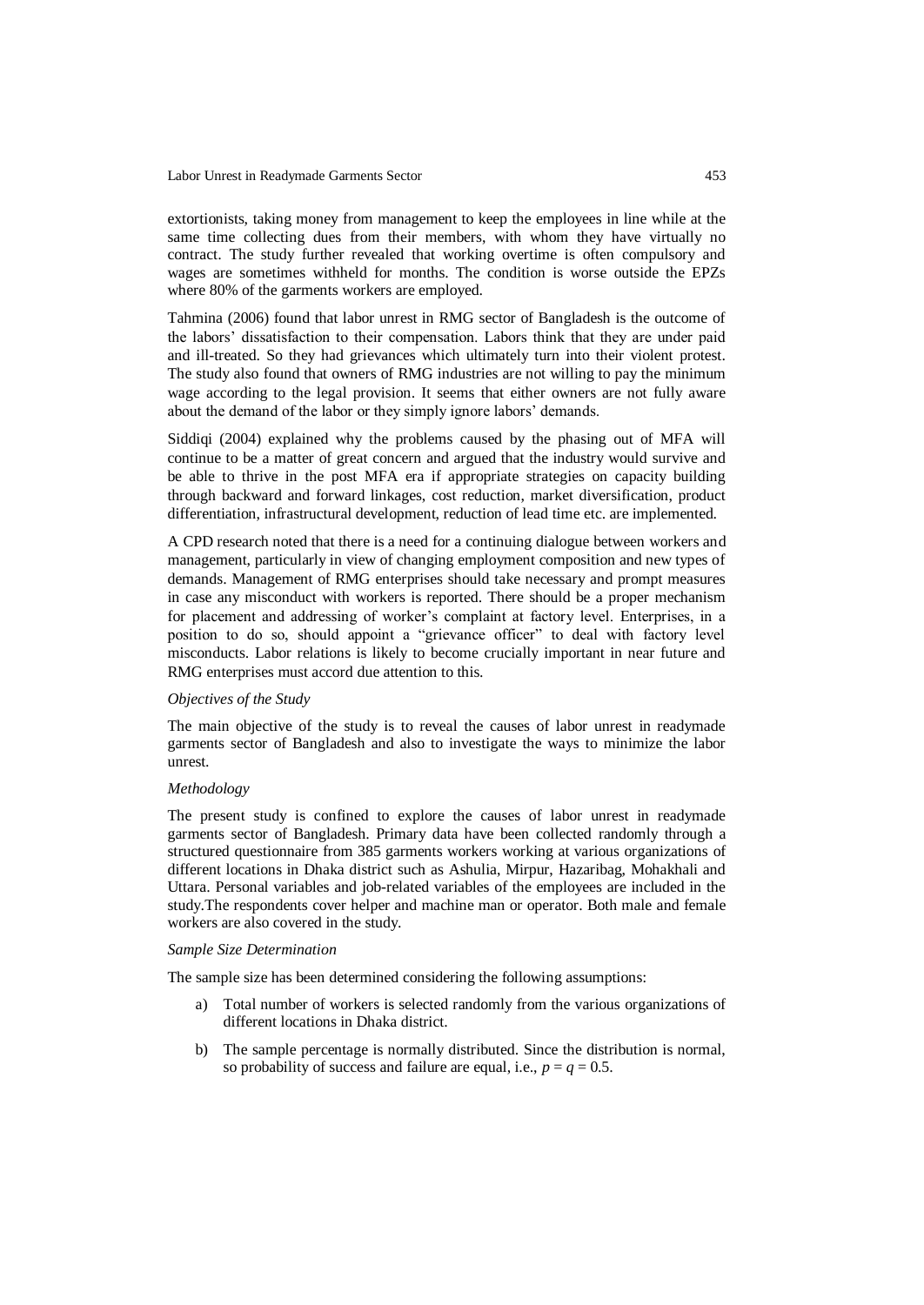Labor Unrest in Readymade Garments Sector 453

extortionists, taking money from management to keep the employees in line while at the same time collecting dues from their members, with whom they have virtually no contract. The study further revealed that working overtime is often compulsory and wages are sometimes withheld for months. The condition is worse outside the EPZs where 80% of the garments workers are employed.

Tahmina (2006) found that labor unrest in RMG sector of Bangladesh is the outcome of the labors' dissatisfaction to their compensation. Labors think that they are under paid and ill-treated. So they had grievances which ultimately turn into their violent protest. The study also found that owners of RMG industries are not willing to pay the minimum wage according to the legal provision. It seems that either owners are not fully aware about the demand of the labor or they simply ignore labors' demands.

Siddiqi (2004) explained why the problems caused by the phasing out of MFA will continue to be a matter of great concern and argued that the industry would survive and be able to thrive in the post MFA era if appropriate strategies on capacity building through backward and forward linkages, cost reduction, market diversification, product differentiation, infrastructural development, reduction of lead time etc. are implemented.

A CPD research noted that there is a need for a continuing dialogue between workers and management, particularly in view of changing employment composition and new types of demands. Management of RMG enterprises should take necessary and prompt measures in case any misconduct with workers is reported. There should be a proper mechanism for placement and addressing of worker's complaint at factory level. Enterprises, in a position to do so, should appoint a "grievance officer" to deal with factory level misconducts. Labor relations is likely to become crucially important in near future and RMG enterprises must accord due attention to this.

#### *Objectives of the Study*

The main objective of the study is to reveal the causes of labor unrest in readymade garments sector of Bangladesh and also to investigate the ways to minimize the labor unrest.

#### *Methodology*

The present study is confined to explore the causes of labor unrest in readymade garments sector of Bangladesh. Primary data have been collected randomly through a structured questionnaire from 385 garments workers working at various organizations of different locations in Dhaka district such as Ashulia, Mirpur, Hazaribag, Mohakhali and Uttara. Personal variables and job-related variables of the employees are included in the study.The respondents cover helper and machine man or operator. Both male and female workers are also covered in the study.

#### *Sample Size Determination*

The sample size has been determined considering the following assumptions:

- a) Total number of workers is selected randomly from the various organizations of different locations in Dhaka district.
- b) The sample percentage is normally distributed. Since the distribution is normal, so probability of success and failure are equal, i.e.,  $p = q = 0.5$ .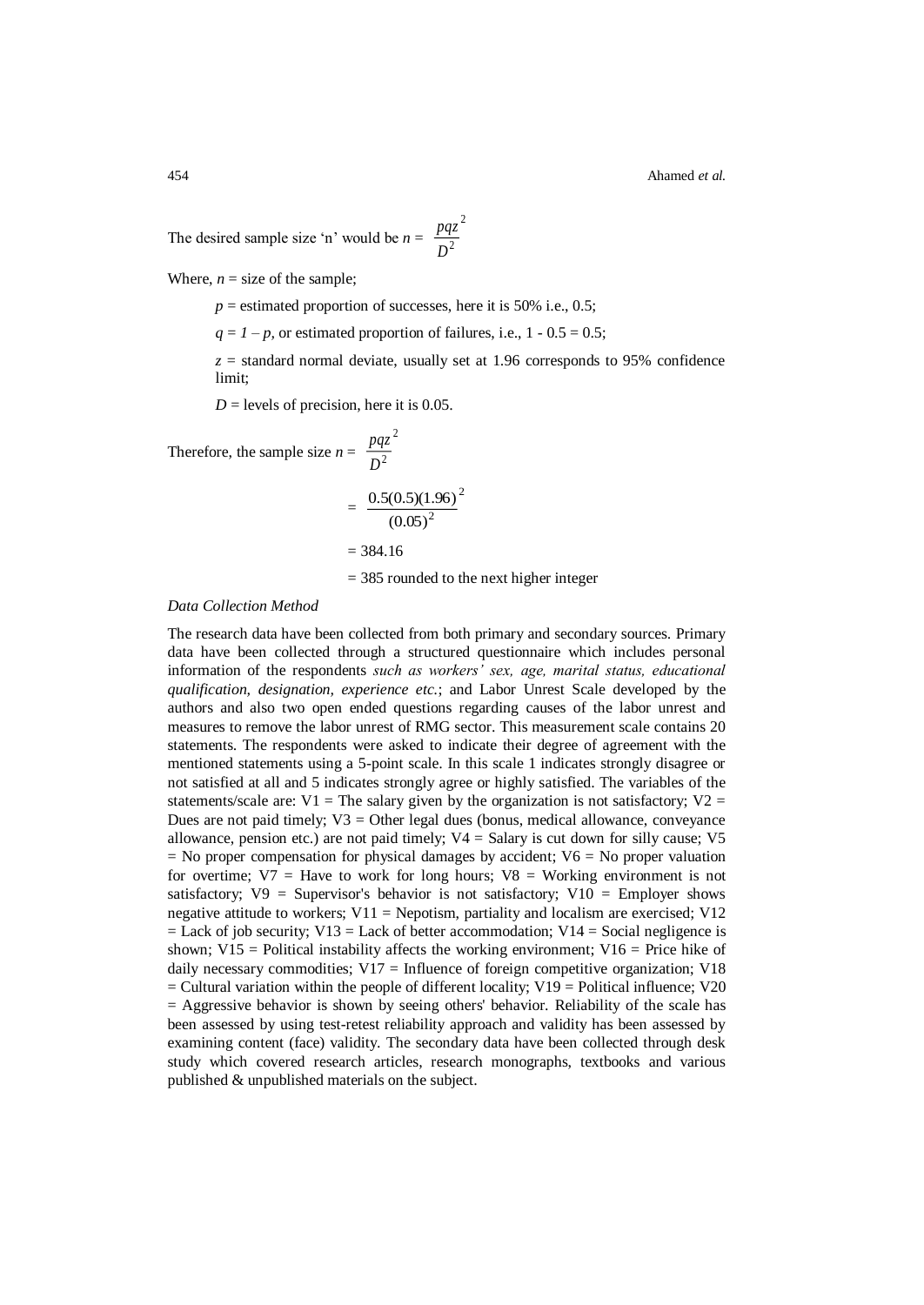The desired sample size 'n' would be  $n =$  $D^2$ *pqz*

Where,  $n = size$  of the sample;

 $p =$  estimated proportion of successes, here it is 50% i.e., 0.5;

 $q = 1 - p$ , or estimated proportion of failures, i.e., 1 - 0.5 = 0.5;

 $z =$  standard normal deviate, usually set at 1.96 corresponds to 95% confidence limit;

2

 $D =$  levels of precision, here it is 0.05.

Therefore, the sample size 
$$
n = \frac{pqz^2}{D^2}
$$
  
=  $\frac{0.5(0.5)(1.96)}{(0.05)^2}$   
= 384.16

= 385 rounded to the next higher integer

2

# *Data Collection Method*

The research data have been collected from both primary and secondary sources. Primary data have been collected through a structured questionnaire which includes personal information of the respondents *such as workers' sex, age, marital status, educational qualification, designation, experience etc.*; and Labor Unrest Scale developed by the authors and also two open ended questions regarding causes of the labor unrest and measures to remove the labor unrest of RMG sector. This measurement scale contains 20 statements. The respondents were asked to indicate their degree of agreement with the mentioned statements using a 5-point scale. In this scale 1 indicates strongly disagree or not satisfied at all and 5 indicates strongly agree or highly satisfied. The variables of the statements/scale are:  $V1$  = The salary given by the organization is not satisfactory;  $V2$  = Dues are not paid timely; V3 = Other legal dues (bonus, medical allowance, conveyance allowance, pension etc.) are not paid timely;  $V4 =$  Salary is cut down for silly cause;  $V5$  $=$  No proper compensation for physical damages by accident; V6  $=$  No proper valuation for overtime;  $V7 =$  Have to work for long hours;  $V8 =$  Working environment is not satisfactory;  $V9 =$  Supervisor's behavior is not satisfactory;  $V10 =$  Employer shows negative attitude to workers;  $V11 =$  Nepotism, partiality and localism are exercised;  $V12$  $=$  Lack of job security; V13 = Lack of better accommodation; V14 = Social negligence is shown;  $V15$  = Political instability affects the working environment;  $V16$  = Price hike of daily necessary commodities;  $V17 = Influence$  of foreign competitive organization; V18  $=$  Cultural variation within the people of different locality; V19  $=$  Political influence; V20  $=$  Aggressive behavior is shown by seeing others' behavior. Reliability of the scale has been assessed by using test-retest reliability approach and validity has been assessed by examining content (face) validity. The secondary data have been collected through desk study which covered research articles, research monographs, textbooks and various published & unpublished materials on the subject.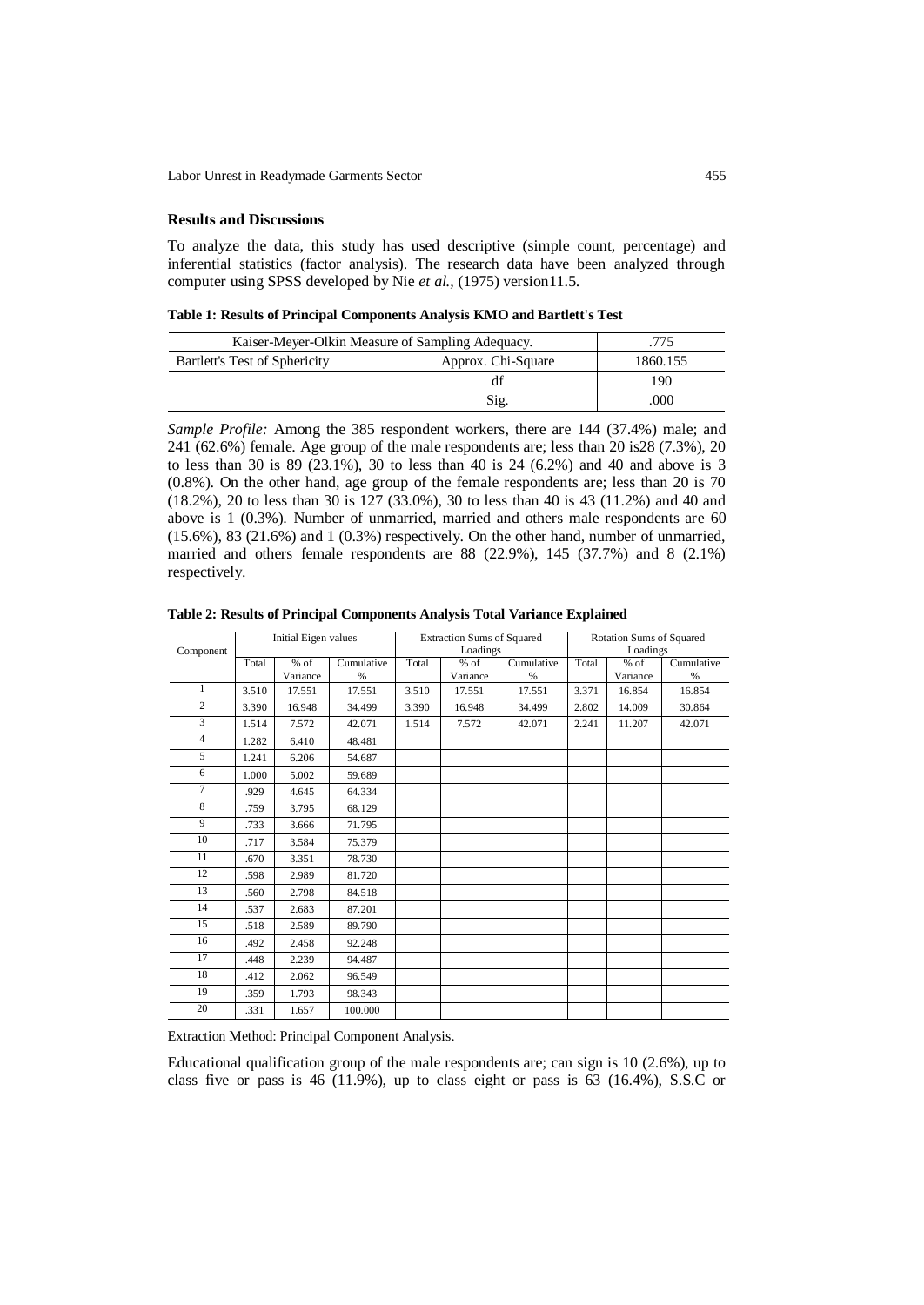### **Results and Discussions**

To analyze the data, this study has used descriptive (simple count, percentage) and inferential statistics (factor analysis). The research data have been analyzed through computer using SPSS developed by Nie *et al.,* (1975) version11.5.

**Table 1: Results of Principal Components Analysis KMO and Bartlett's Test**

| Kaiser-Meyer-Olkin Measure of Sampling Adequacy.    | .775 |          |
|-----------------------------------------------------|------|----------|
| Bartlett's Test of Sphericity<br>Approx. Chi-Square |      | 1860.155 |
|                                                     | df   | 190      |
|                                                     | Sig. | .000     |

*Sample Profile:* Among the 385 respondent workers, there are 144 (37.4%) male; and 241 (62.6%) female. Age group of the male respondents are; less than 20 is28 (7.3%), 20 to less than 30 is 89 (23.1%), 30 to less than 40 is 24 (6.2%) and 40 and above is 3 (0.8%). On the other hand, age group of the female respondents are; less than 20 is 70 (18.2%), 20 to less than 30 is 127 (33.0%), 30 to less than 40 is 43 (11.2%) and 40 and above is 1 (0.3%). Number of unmarried, married and others male respondents are 60 (15.6%), 83 (21.6%) and 1 (0.3%) respectively. On the other hand, number of unmarried, married and others female respondents are 88 (22.9%), 145 (37.7%) and 8 (2.1%) respectively.

|                |       | Initial Eigen values |            | <b>Extraction Sums of Squared</b> |          | Rotation Sums of Squared |          |          |               |
|----------------|-------|----------------------|------------|-----------------------------------|----------|--------------------------|----------|----------|---------------|
| Component      |       |                      |            | Loadings                          |          |                          | Loadings |          |               |
|                | Total | $%$ of               | Cumulative | Total                             | $%$ of   | Cumulative               | Total    | $%$ of   | Cumulative    |
|                |       | Variance             | %          |                                   | Variance | %                        |          | Variance | $\frac{9}{6}$ |
| 1              | 3.510 | 17.551               | 17.551     | 3.510                             | 17.551   | 17.551                   | 3.371    | 16.854   | 16.854        |
| $\overline{c}$ | 3.390 | 16.948               | 34.499     | 3.390                             | 16.948   | 34.499                   | 2.802    | 14.009   | 30.864        |
| 3              | 1.514 | 7.572                | 42.071     | 1.514                             | 7.572    | 42.071                   | 2.241    | 11.207   | 42.071        |
| $\overline{4}$ | 1.282 | 6.410                | 48.481     |                                   |          |                          |          |          |               |
| 5              | 1.241 | 6.206                | 54.687     |                                   |          |                          |          |          |               |
| 6              | 1.000 | 5.002                | 59.689     |                                   |          |                          |          |          |               |
| $\tau$         | .929  | 4.645                | 64.334     |                                   |          |                          |          |          |               |
| 8              | .759  | 3.795                | 68.129     |                                   |          |                          |          |          |               |
| 9              | .733  | 3.666                | 71.795     |                                   |          |                          |          |          |               |
| 10             | .717  | 3.584                | 75.379     |                                   |          |                          |          |          |               |
| 11             | .670  | 3.351                | 78.730     |                                   |          |                          |          |          |               |
| 12             | .598  | 2.989                | 81.720     |                                   |          |                          |          |          |               |
| 13             | .560  | 2.798                | 84.518     |                                   |          |                          |          |          |               |
| 14             | .537  | 2.683                | 87.201     |                                   |          |                          |          |          |               |
| 15             | .518  | 2.589                | 89.790     |                                   |          |                          |          |          |               |
| 16             | .492  | 2.458                | 92.248     |                                   |          |                          |          |          |               |
| 17             | .448  | 2.239                | 94.487     |                                   |          |                          |          |          |               |
| 18             | .412  | 2.062                | 96.549     |                                   |          |                          |          |          |               |
| 19             | .359  | 1.793                | 98.343     |                                   |          |                          |          |          |               |
| 20             | .331  | 1.657                | 100.000    |                                   |          |                          |          |          |               |

**Table 2: Results of Principal Components Analysis Total Variance Explained**

Extraction Method: Principal Component Analysis.

Educational qualification group of the male respondents are; can sign is 10 (2.6%), up to class five or pass is 46 (11.9%), up to class eight or pass is 63 (16.4%), S.S.C or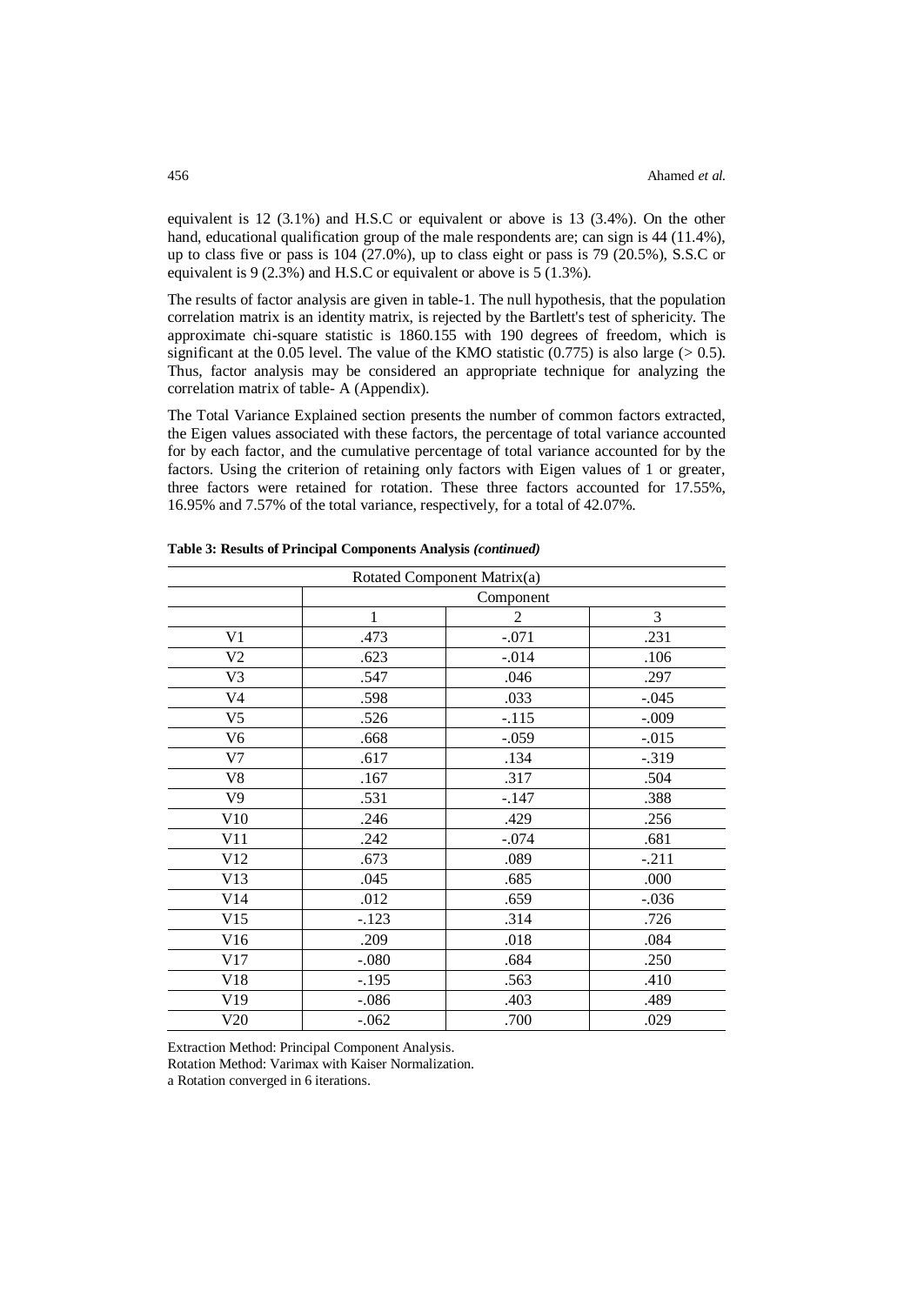equivalent is 12 (3.1%) and H.S.C or equivalent or above is 13 (3.4%). On the other hand, educational qualification group of the male respondents are; can sign is 44 (11.4%), up to class five or pass is 104 (27.0%), up to class eight or pass is 79 (20.5%), S.S.C or equivalent is 9 (2.3%) and H.S.C or equivalent or above is 5 (1.3%).

The results of factor analysis are given in table-1. The null hypothesis, that the population correlation matrix is an identity matrix, is rejected by the Bartlett's test of sphericity. The approximate chi-square statistic is 1860.155 with 190 degrees of freedom, which is significant at the 0.05 level. The value of the KMO statistic  $(0.775)$  is also large ( $> 0.5$ ). Thus, factor analysis may be considered an appropriate technique for analyzing the correlation matrix of table- A (Appendix).

The Total Variance Explained section presents the number of common factors extracted, the Eigen values associated with these factors, the percentage of total variance accounted for by each factor, and the cumulative percentage of total variance accounted for by the factors. Using the criterion of retaining only factors with Eigen values of 1 or greater, three factors were retained for rotation. These three factors accounted for 17.55%, 16.95% and 7.57% of the total variance, respectively, for a total of 42.07%.

| Rotated Component Matrix(a) |           |                |         |  |
|-----------------------------|-----------|----------------|---------|--|
|                             | Component |                |         |  |
|                             | 1         | $\overline{2}$ | 3       |  |
| V <sub>1</sub>              | .473      | $-.071$        | .231    |  |
| V <sub>2</sub>              | .623      | $-.014$        | .106    |  |
| V <sub>3</sub>              | .547      | .046           | .297    |  |
| V4                          | .598      | .033           | $-.045$ |  |
| V <sub>5</sub>              | .526      | $-.115$        | $-.009$ |  |
| V <sub>6</sub>              | .668      | $-.059$        | $-.015$ |  |
| V7                          | .617      | .134           | $-.319$ |  |
| V <sub>8</sub>              | .167      | .317           | .504    |  |
| V9                          | .531      | $-.147$        | .388    |  |
| V10                         | .246      | .429           | .256    |  |
| V11                         | .242      | $-.074$        | .681    |  |
| V12                         | .673      | .089           | $-.211$ |  |
| V13                         | .045      | .685           | .000    |  |
| V14                         | .012      | .659           | $-.036$ |  |
| V15                         | $-.123$   | .314           | .726    |  |
| V16                         | .209      | .018           | .084    |  |
| V17                         | $-.080$   | .684           | .250    |  |
| V18                         | $-.195$   | .563           | .410    |  |
| V19                         | $-.086$   | .403           | .489    |  |
| V20                         | $-.062$   | .700           | .029    |  |

**Table 3: Results of Principal Components Analysis** *(continued)*

Extraction Method: Principal Component Analysis.

Rotation Method: Varimax with Kaiser Normalization. a Rotation converged in 6 iterations.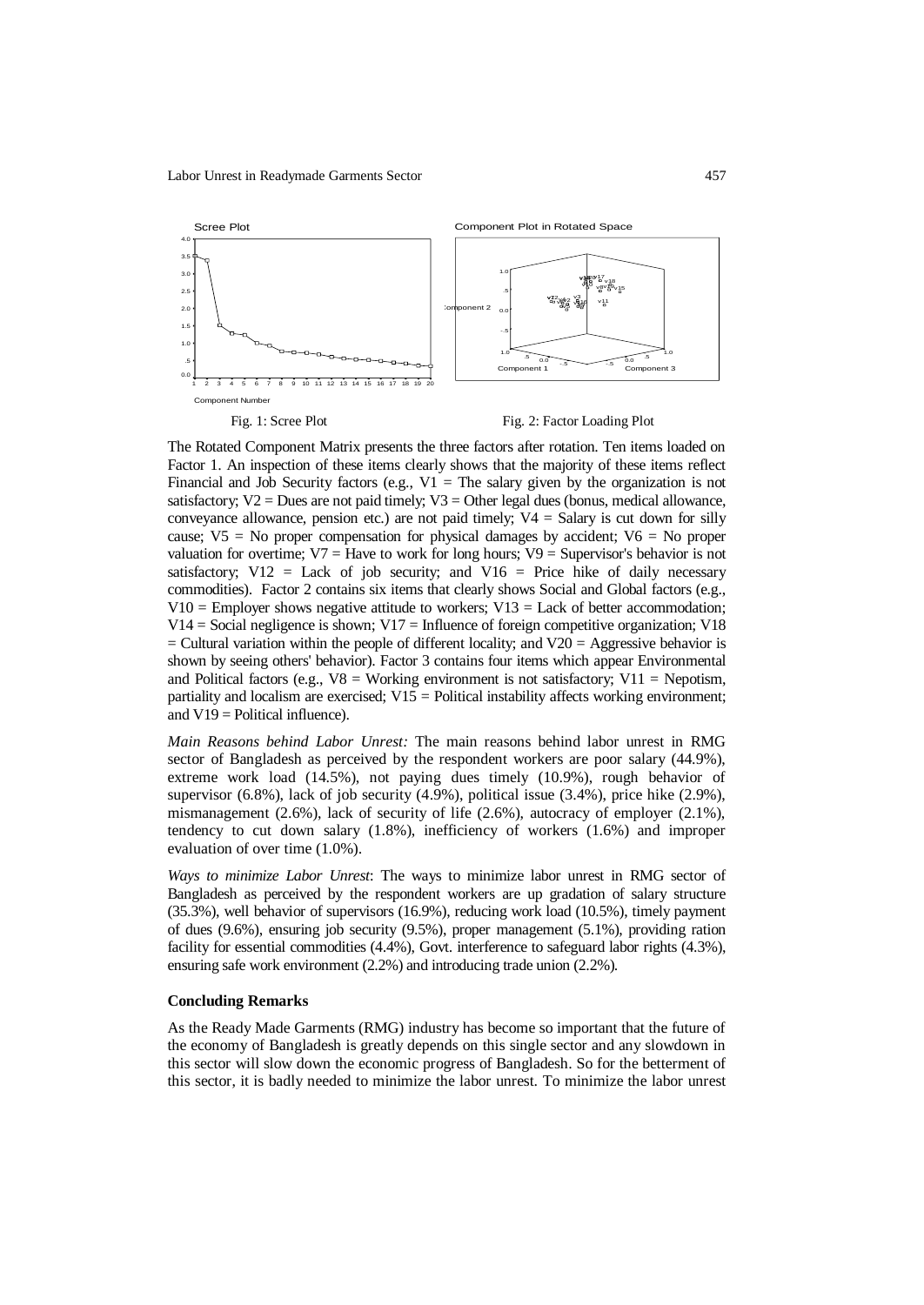

The Rotated Component Matrix presents the three factors after rotation. Ten items loaded on Factor 1. An inspection of these items clearly shows that the majority of these items reflect Financial and Job Security factors (e.g.,  $V1 =$  The salary given by the organization is not satisfactory;  $V2 = D$ ues are not paid timely;  $V3 = O$ ther legal dues (bonus, medical allowance, conveyance allowance, pension etc.) are not paid timely;  $V4 =$  Salary is cut down for silly cause;  $V5 = No$  proper compensation for physical damages by accident;  $V6 = No$  proper valuation for overtime;  $V7 =$  Have to work for long hours;  $V9 =$  Supervisor's behavior is not satisfactory;  $V12 =$  Lack of job security; and  $V16 =$  Price hike of daily necessary commodities). Factor 2 contains six items that clearly shows Social and Global factors (e.g.,  $V10 =$  Employer shows negative attitude to workers;  $V13 =$  Lack of better accommodation;  $V14 =$  Social negligence is shown;  $V17 =$  Influence of foreign competitive organization; V18  $=$  Cultural variation within the people of different locality; and V20  $=$  Aggressive behavior is shown by seeing others' behavior). Factor 3 contains four items which appear Environmental and Political factors (e.g.,  $V8 = Working$  environment is not satisfactory;  $V11 = Nepotism$ , partiality and localism are exercised; V15 = Political instability affects working environment; and  $V19$  = Political influence).

*Main Reasons behind Labor Unrest:* The main reasons behind labor unrest in RMG sector of Bangladesh as perceived by the respondent workers are poor salary (44.9%), extreme work load (14.5%), not paying dues timely (10.9%), rough behavior of supervisor (6.8%), lack of job security (4.9%), political issue (3.4%), price hike (2.9%), mismanagement  $(2.6\%)$ , lack of security of life  $(2.6\%)$ , autocracy of employer  $(2.1\%)$ , tendency to cut down salary (1.8%), inefficiency of workers (1.6%) and improper evaluation of over time (1.0%).

*Ways to minimize Labor Unrest*: The ways to minimize labor unrest in RMG sector of Bangladesh as perceived by the respondent workers are up gradation of salary structure (35.3%), well behavior of supervisors (16.9%), reducing work load (10.5%), timely payment of dues (9.6%), ensuring job security (9.5%), proper management (5.1%), providing ration facility for essential commodities (4.4%), Govt. interference to safeguard labor rights (4.3%), ensuring safe work environment (2.2%) and introducing trade union (2.2%).

#### **Concluding Remarks**

As the Ready Made Garments (RMG) industry has become so important that the future of the economy of Bangladesh is greatly depends on this single sector and any slowdown in this sector will slow down the economic progress of Bangladesh. So for the betterment of this sector, it is badly needed to minimize the labor unrest. To minimize the labor unrest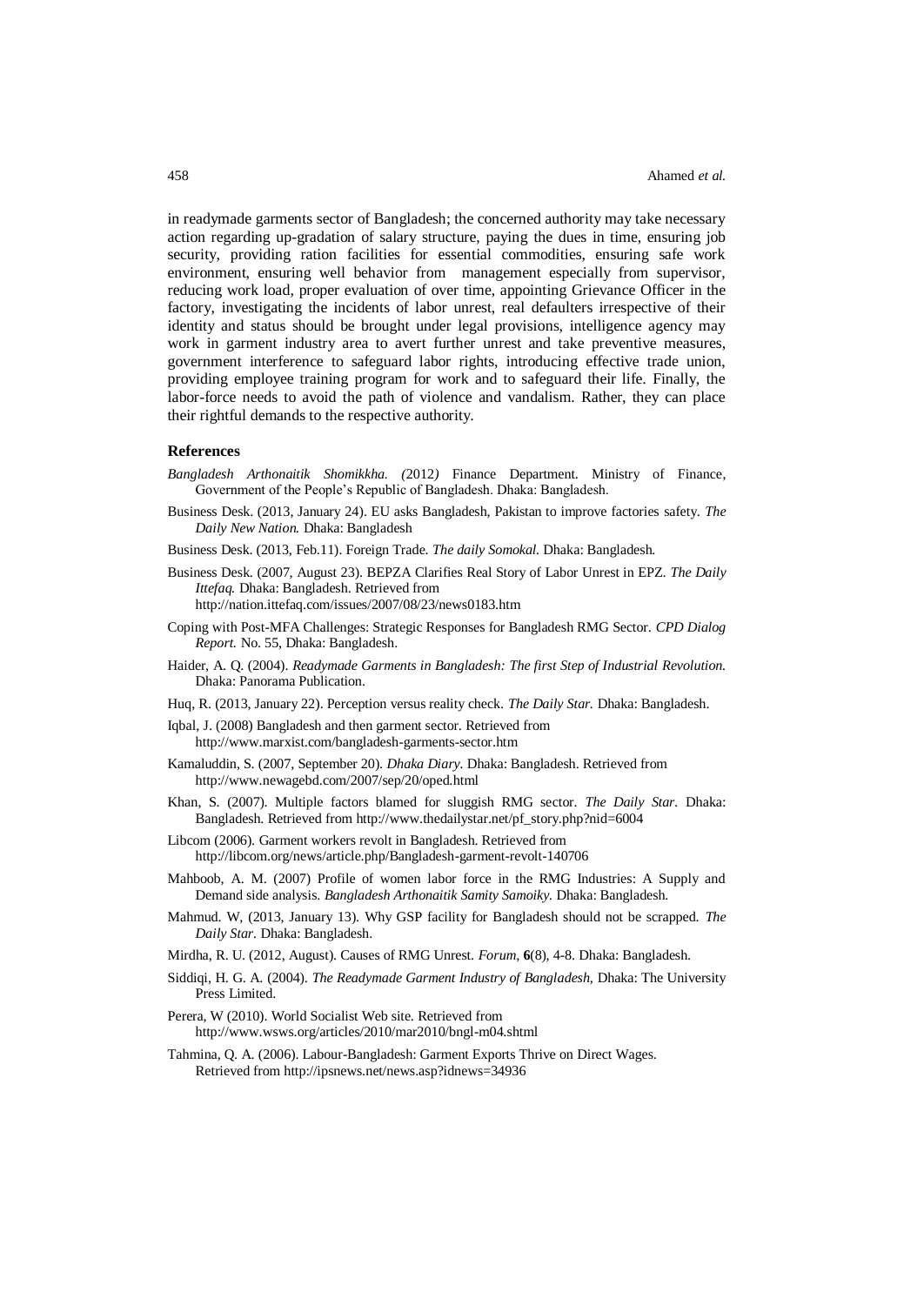in readymade garments sector of Bangladesh; the concerned authority may take necessary action regarding up-gradation of salary structure, paying the dues in time, ensuring job security, providing ration facilities for essential commodities, ensuring safe work environment, ensuring well behavior from management especially from supervisor, reducing work load, proper evaluation of over time, appointing Grievance Officer in the factory, investigating the incidents of labor unrest, real defaulters irrespective of their identity and status should be brought under legal provisions, intelligence agency may work in garment industry area to avert further unrest and take preventive measures, government interference to safeguard labor rights, introducing effective trade union, providing employee training program for work and to safeguard their life. Finally, the labor-force needs to avoid the path of violence and vandalism. Rather, they can place their rightful demands to the respective authority.

#### **References**

- *Bangladesh Arthonaitik Shomikkha. (*2012*)* Finance Department. Ministry of Finance, Government of the People's Republic of Bangladesh. Dhaka: Bangladesh.
- Business Desk. (2013, January 24). EU asks Bangladesh, Pakistan to improve factories safety. *The Daily New Nation.* Dhaka: Bangladesh
- Business Desk. (2013, Feb.11). Foreign Trade. *The daily Somokal.* Dhaka: Bangladesh.
- Business Desk. (2007, August 23). BEPZA Clarifies Real Story of Labor Unrest in EPZ. *The Daily Ittefaq.* Dhaka: Bangladesh. Retrieved from <http://nation.ittefaq.com/issues/2007/08/23/news0183.htm>
- Coping with Post-MFA Challenges: Strategic Responses for Bangladesh RMG Sector. *CPD Dialog Report.* No. 55, Dhaka: Bangladesh.
- Haider, A. Q. (2004). *Readymade Garments in Bangladesh: The first Step of Industrial Revolution.*  Dhaka: Panorama Publication.
- Huq, R. (2013, January 22). Perception versus reality check. *The Daily Star.* Dhaka: Bangladesh.
- Iqbal, J. (2008) Bangladesh and then garment sector. Retrieved from <http://www.marxist.com/bangladesh-garments-sector.htm>
- Kamaluddin, S. (2007, September 20). *Dhaka Diary.* Dhaka: Bangladesh. Retrieved from <http://www.newagebd.com/2007/sep/20/oped.html>
- Khan, S. (2007). Multiple factors blamed for sluggish RMG sector. *The Daily Star.* Dhaka: Bangladesh. Retrieved fro[m http://www.thedailystar.net/pf\\_story.php?nid=6004](http://www.thedailystar.net/pf_story.php?nid=6004)
- Libcom (2006). Garment workers revolt in Bangladesh. Retrieved from <http://libcom.org/news/article.php/Bangladesh-garment-revolt-140706>
- Mahboob, A. M. (2007) Profile of women labor force in the RMG Industries: A Supply and Demand side analysis. *Bangladesh Arthonaitik Samity Samoiky.* Dhaka: Bangladesh.
- Mahmud. W, (2013, January 13). Why GSP facility for Bangladesh should not be scrapped. *The Daily Star.* Dhaka: Bangladesh.
- Mirdha, R. U. (2012, August). Causes of RMG Unrest. *Forum,* **6**(8), 4-8. Dhaka: Bangladesh.
- Siddiqi, H. G. A. (2004). *The Readymade Garment Industry of Bangladesh,* Dhaka: The University Press Limited.
- Perera, W (2010). World Socialist Web site. Retrieved from <http://www.wsws.org/articles/2010/mar2010/bngl-m04.shtml>
- Tahmina, Q. A. (2006). Labour-Bangladesh: Garment Exports Thrive on Direct Wages. Retrieved from http://ipsnews.net/news.asp?idnews=34936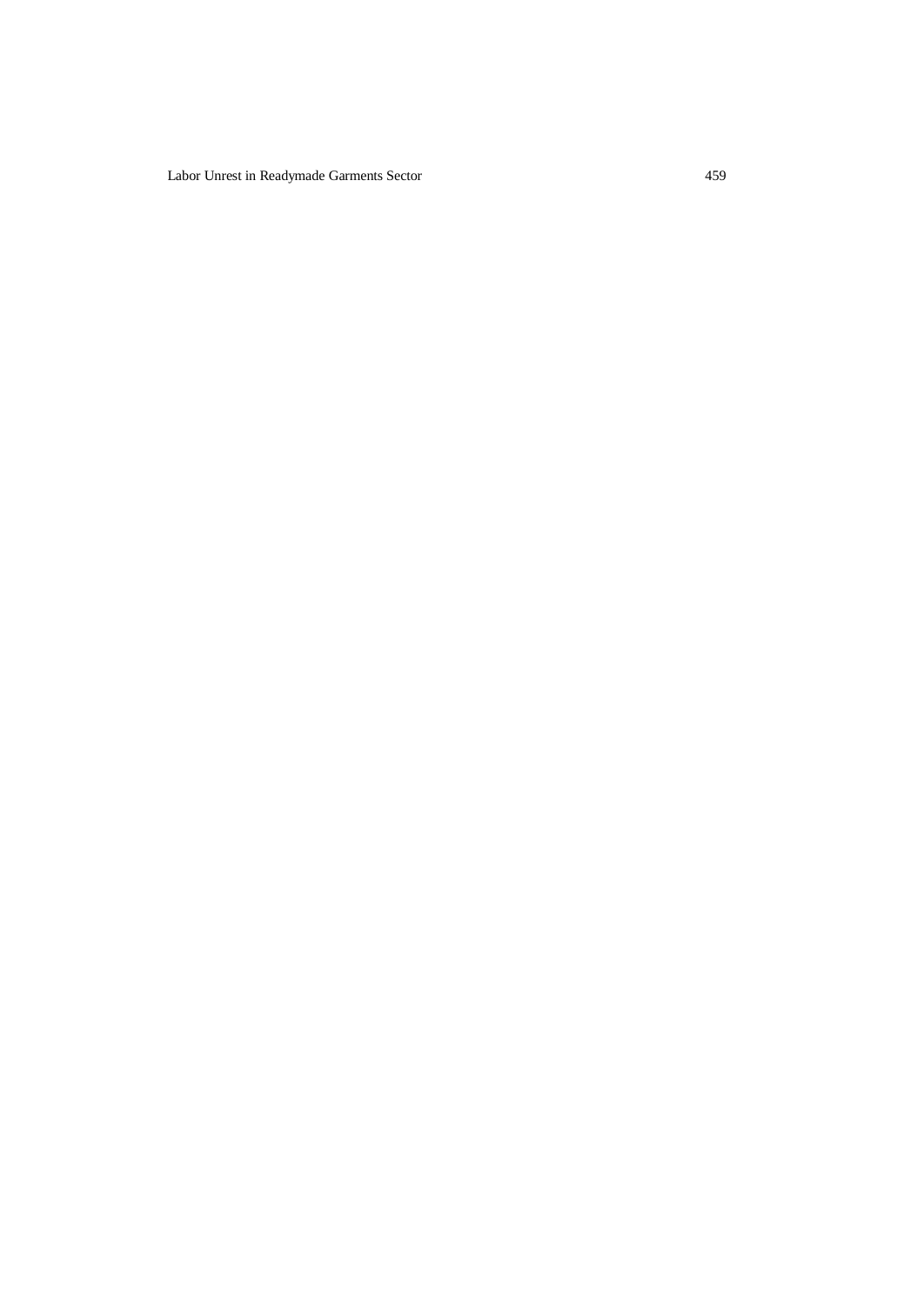Labor Unrest in Readymade Garments Sector 459